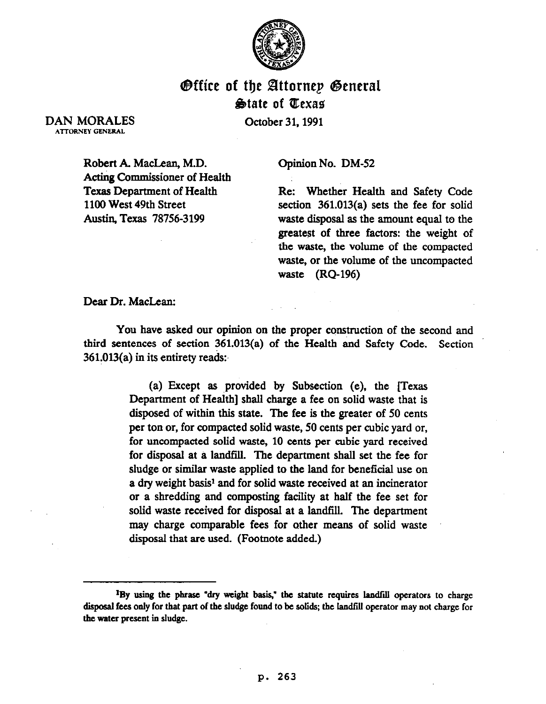

## @ffice of tiy Bttornep @eneral **State of Texas**

DAN MORALES ATTORNEY GENERAL

October 31.1991

Robert A. MacLean, M.D. Acting Commissioner of Health Texas Department of Health 1100 West 49th Street Austin, Texas 78756-3199

Opinion No. DM-52

Re: Whether Health and Safety Code section 361.013(a) sets the fee for solid waste disposal as the amount equal to the greatest of three factors: the weight of the waste, the volume of the compacted waste, or the volume of the uncompacted waste (RQ-196)

Dear Dr. MacLean:

You have asked our opinion on the proper construction of the second and third sentences of section 361.013(a) of the Health and Safety Code. Section  $361.013(a)$  in its entirety reads:

> (a) Except as provided by Subsection (e), the [Texas Department of Health] shall charge a fee on solid waste that is disposed of within this state. The fee is the greater of 50 cents per ton or, for compacted solid waste, 50 cents per cubic yard or, for uncompacted solid waste, 10 cents per cubic yard received for disposal at a landfill. The department shall set the fee for sludge or similar waste applied to the land for beneficial use on a dry weight basis<sup>1</sup> and for solid waste received at an incinerator or a shredding and cornposting facility at half the fee set for solid waste received for disposal at a landfill. The department may charge comparable fees for other means of solid waste disposal that are used. (Footnote added.)

<sup>&</sup>lt;sup>1</sup>By using the phrase "dry weight basis," the statute requires landfill operators to charge disposal fees only for that part of the sludge found to be solids; the landfill operator may not charge for **'be water present in sludge.**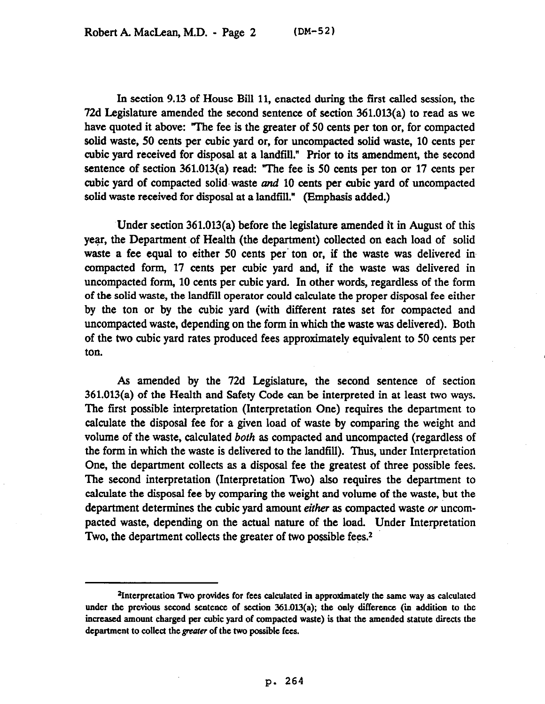In section 9.13 of House Bill 11, enacted during the first called session, the 72d Legislature amended the second sentence of section 361.013(a) to read as we have quoted it above: 'The fee is the greater of 50 cents per ton or, for compacted solid waste, 50 cents per cubic yard or, for uncompacted solid waste, 10 cents per cubic yard received for disposal at a landfill." Prior to its amendment, the second sentence of section 361.013(a) read: "The fee is 50 cents per ton or 17 cents per cubic yard of compacted solid-waste and 10 cents per cubic yard of uncompacted solid waste received for disposal at a landfill." (Emphasis added.)

Under section 361.013(a) before the legislature amended it in August of this year, the Department of Health (the department) collected on each load of solid waste a fee equal to either 50 cents per ton or, if the waste was delivered in compacted form, 17 cents per cubic yard and, if the waste was delivered in uncompacted form, 10 cents per cubic yard. In other words, regardless of the form of the solid waste, the landfill operator could calculate the proper disposal fee either by the ton or by the cubic yard (with different rates set for compacted and uncompacted waste, depending on the form in which the waste was delivered). Both of the two cubic yard rates produced fees approximately equivalent to 50 cents per ton.

As amended by the 72d Legislature, the second sentence of section 361.013(a) of the Health and Safety Code can bc interpreted in at least two ways. The first possible interpretation (Interpretation One) requires the department to calculate the disposal fee for a given load of waste by comparing the weight and volume of the waste, calculated *both* as compacted and uncompacted (regardless of the form in which the waste is delivered to the landfill). Thus, under Interpretation One, the department collects as a disposal fee the greatest of three possible fees. The second interpretation (Interpretation Two) also requires the department to calculate the disposal fee by comparing the weight and volume of the waste, but the department determines the cubic yard amount *eifkr* as compacted waste or uncompacted waste, depending on the actual nature of the load. Under Interpretation Two, the department collects the greater of two possible fees.<sup>2</sup>

**<sup>\*</sup>Interpretation Two provides for fees calculated in approximately the same way as calculated**  under the previous second sentence of section 361.013(a); the only difference (in addition to the **increased amount charged per cubic yard of compacted waste) is** that **the amended statute directs the**  department to collect the *greater* of the two possible fees.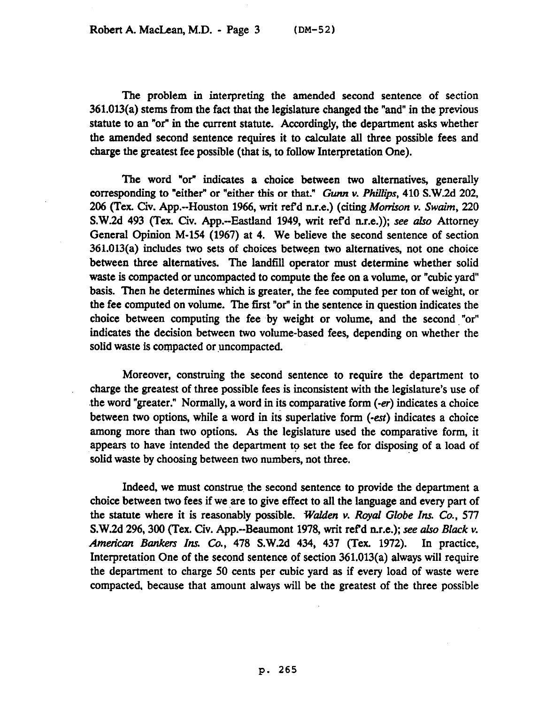The problem in interpreting the amended second sentence of section 361.013(a) stems from the fact that the legislature changed the "and" in the previous statute to an "or" in the current statute. Accordingly, the department asks whether the amended second sentence requires it to calculate all three possible fees and charge the greatest fee possible (that is, to follow Interpretation One).

The word "or" indicates a choice between two alternatives, generally corresponding to "either" or "either this or that." Gunn v. Phillips, 410 S.W.2d 202, 206 (Tex. Civ. App.--Houston 1966, writ ref'd n.r.e.) (citing *Morrison v. Swaim*, 220 S.W.2d 493 (Tex. Civ. App.-Eastland 1949, writ refd n.r.e.)); see ako Attorney General Opinion M-154 (1967) at 4. We believe the second sentence of section 361.013(a) includes two sets of choices between two alternatives, not one choice between three alternatives. The landfill operator must determine whether solid waste is compacted or uncompacted to compute the fee on a volume, or "cubic yard" basis. Then he determines which is greater, the fee computed per ton of weight, or the fee computed on volume. The first "or" in the sentence in question indicates the choice between computing the fee by weight or volume, and the second "or" indicates the decision between two volume-based fees, depending on whether the solid waste is compacted or uncompacted.

Moreover, construing the second sentence to require the department to charge the greatest of three possible fees is inconsistent with the legislature's use of .the word "greater." Normally, a word in its comparative form (-er) indicates a choice between two options, while a word in its superlative form (-ert) indicates a choice among more than two options. As the legislature used the comparative form, it appears to have intended the department to set the fee for disposing of a load of solid waste by choosing between two numbers, not *three.* 

Indeed, we must construe the second sentence to provide the department a choice between two fees if we are to give effect to all the language and every part of the statute where it is reasonably possible. Walden v. Royal Globe Ins. Co., 577 S.W.2d 296,300 (Tex. Civ. App.-Beaumont 1978, writ *ref* d n.r.e.); see *aho Black v. American Bankers* Inr. Co., 478 S.W.2d 434, 437 (Tex. 1972). In practice, Interpretation One of the second sentence of section 361.013(a) always will require the department to charge 50 cents per cubic yard as if every load of waste were compacted, because that amount always will be the greatest of the three possible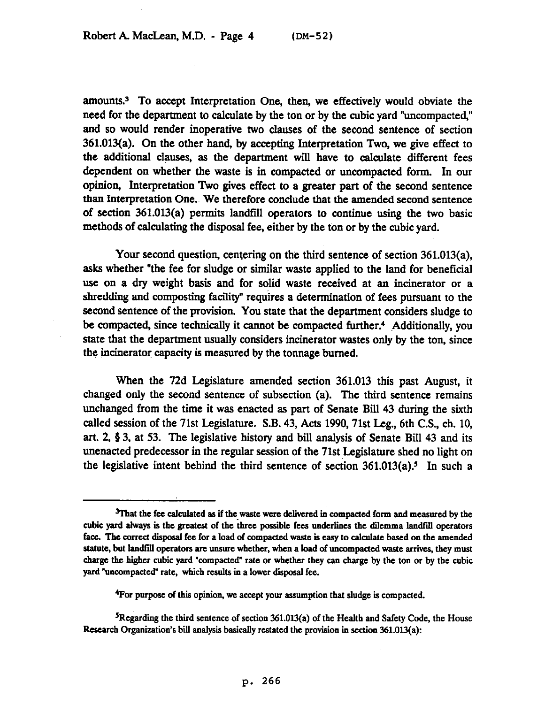amounts.3 To accept Interpretation One, then, we effectively would obviate the need for the department to calculate by the ton or by the cubic yard "uncompacted," and so would render inoperative two clauses of the second sentence of section 361.013(a). On the other hand, by accepting Interpretation Two, we give effect to the additional clauses, as the department will have to calculate different fees dependent on whether the waste is in compacted or uncompacted form. In our opinion, Interpretation Two gives effect to a greater part of the second sentence than Interpretation One.~ We therefore conclude that the amended second sentence of section 361.013(a) permits landfill operators to continue using the two basic methods of calculating the disposal fee, either by the ton or by the cubic yard.

Your second question, centering on the third sentence of section 361.013(a), asks whether "the fee for sludge or similar waste applied to the land for beneficial use on a dry weight basis and for solid waste received at an incinerator or a shredding and composting facility" requires a determination of fees pursuant to the second sentence of the provision. You state that the department considers sludge to be compacted, since technically it cannot be compacted further.<sup>4</sup> Additionally, you state that the department usually considers incinerator wastes only by the ton, since the incinerator capacity is measured by the tonnage burned.

When the 72d Legislature amended section 361.013 this past August, it changed only the second sentence of subsection (a). The third sentence remains unchanged from the time it was enacted as part of Senate Bill 43 during the sixth called session of the 71st Legislature. S.B. 43, Acts 1990,71st Leg., 6th C.S., ch. 10, art. 2, § 3, at 53. The legislative history and bill analysis of Senate Bill 43 and its unenacted predecessor in the regular session of the 71st Legislature shed no light on the legislative intent behind the third sentence of section  $361.013(a)$ .<sup>5</sup> In such a

<sup>&</sup>lt;sup>3</sup>That the fee calculated as if the waste were delivered in compacted form and measured by the **cubic yard always is the greatest of the three possible fees underlines tbc dilemma lamltidl operators**  face. The correct disposal fee for a load of compacted waste is easy to calculate based on the amended statute, but landfill operators are unsure whether, when a load of uncompacted waste arrives, they must **charge the higher cubic yard 'compacted" rate or whether they can charge by the ton or by tbe cubic yard "uncompacted" rate, which results in a lower disposal fee.** 

**<sup>&#</sup>x27;For purpose of this opinion, we accept your assumption that sludge is compacted.** 

**<sup>5</sup>Regardiog the third sentence of section 36LOl3(a) of the Health and Safety Code, the House**  Research Organization's bill analysis basically restated the provision in section 361.013(a):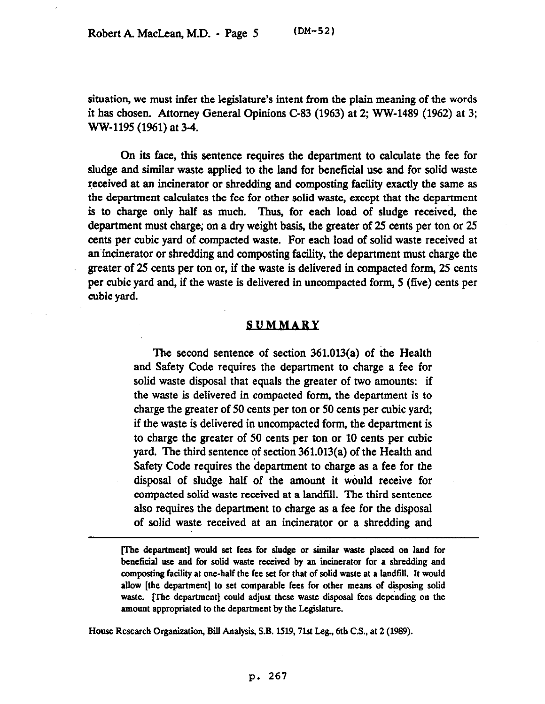situation, we must infer the legislature's intent from the plain meaning of the words it has chosen. Attorney General Opinions C-83 (1963) at 2; WW-1489 (1962) at 3; WW-1195 (1961) at 34.

On its face, this sentence requires the department to calculate the fee for sludge and similar waste applied to the land for beneficial use and for solid waste received at an incinerator or shredding and composting facility exactly the same as the department calculates the fee for other solid waste, except that the department is to charge only half as much. Thus, for each load of sludge received, the department must charge; on a dry weight basis, the greater of 25 cents per ton or 25 cents per cubic yard of compacted waste. For each load of solid waste received at anincinerator or shredding and composting facility, the department must charge the greater of 25 cents per ton or, if the waste is delivered in compacted form, 25 cents per cubic yard and, if the waste is delivered in uncompacted form, 5 (five) cents per cubic yard.

## **SUMMARY**

The second sentence of section 361.013(a) of the Health and Safety Code requires the department to charge a fee for solid waste disposal that equals the greater of two amounts: if the waste is delivered in compacted form, the department is to charge the greater of 50 cents per ton or 50 cents per cubic yard; if the waste is delivered in uncompacted form, the department is to charge the greater of 50 cents per ton or 10 cents per cubic yard. The third sentence of section 361.013(a) of the Health and Safety Code requires the department to charge as a fee for the disposal of sludge half of the amount it would receive for compacted solid waste received at a landfill. The third sentence also requires the department to charge as a fee for the disposal of solid waste received at an incinerator or a shredding and

**me department] would set fees for sludge or similar waste placed on land for beneficial USC and for solid waste received by an incinerator for a shredding and**  composting facility at one-half the fee set for that of solid waste at a landfill. It would **allow [the department] to set comparable fees for other means of disposing solid**  waste. [The department] could adjust these waste disposal fees depending on the **amount appropriated to the department by the Legislature.** 

**House Research Organization, Bii Analysis, S.B. 1519,7lst Leg., 6th C.S., at 2 (1989).** 

## **p. 267**